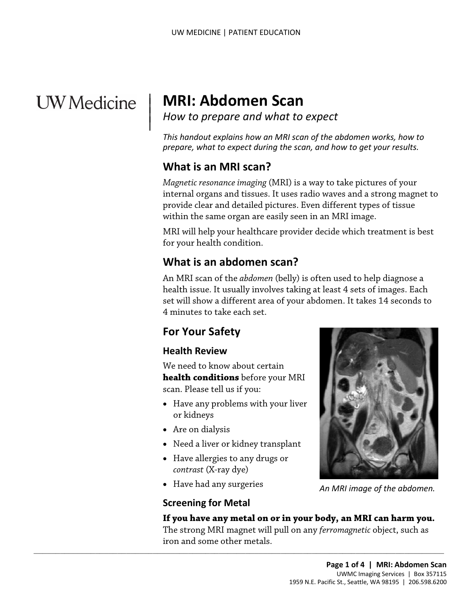# **UW** Medicine

 $\parallel$ 

## | **MRI: Abdomen Scan**

*How to prepare and what to expect* <sup>|</sup>

 *This handout explains how an MRI scan of the abdomen works, how to prepare, what to expect during the scan, and how to get your results.* 

#### **What is an MRI scan?**

 internal organs and tissues. It uses radio waves and a strong magnet to *Magnetic resonance imaging* (MRI) is a way to take pictures of your provide clear and detailed pictures. Even different types of tissue within the same organ are easily seen in an MRI image.

 MRI will help your healthcare provider decide which treatment is best for your health condition.

#### **What is an abdomen scan?**

 An MRI scan of the *abdomen* (belly) is often used to help diagnose a health issue. It usually involves taking at least 4 sets of images. Each set will show a different area of your abdomen. It takes 14 seconds to within the same organ are easily seen in an MRI image.<br>
MRI will help your healthcare provider decide which treatment is b<br>
for your health condition.<br> **What is an abdomen scan?**<br>
An MRI scan of the *abdomen* (belly) is of 4 minutes to take each set.

### **For Your Safety**

#### **Health Review**

 scan. Please tell us if you: We need to know about certain **health conditions** before your MRI

- Have any problems with your liver or kidneys
- Are on dialysis
- Need a liver or kidney transplant

 $\_$  , and the set of the set of the set of the set of the set of the set of the set of the set of the set of the set of the set of the set of the set of the set of the set of the set of the set of the set of the set of th

- *contrast* (X-ray dye) • Have allergies to any drugs or
- Have had any surgeries

#### **Screening for Metal**



*An MRI image of the abdomen.* 

**If you have any metal on or in your body, an MRI can harm you.** 

The strong MRI magnet will pull on any *ferromagnetic* object, such as iron and some other metals.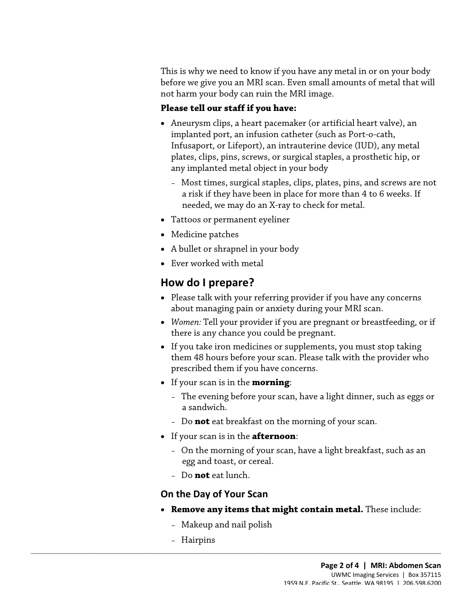This is why we need to know if you have any metal in or on your body before we give you an MRI scan. Even small amounts of metal that will not harm your body can ruin the MRI image.

#### **Please tell our staff if you have:**

- Aneurysm clips, a heart pacemaker (or artificial heart valve), an implanted port, an infusion catheter (such as Port-o-cath, Infusaport, or Lifeport), an intrauterine device (IUD), any metal plates, clips, pins, screws, or surgical staples, a prosthetic hip, or any implanted metal object in your body
- needed, we may do an X-ray to check for metal.<br>
 Tattoos or permanent eyeliner<br>
 Medicine patches<br>
 A bullet or shrapnel in your body<br>
 Ever worked with metal<br> **How do I prepare?** – Most times, surgical staples, clips, plates, pins, and screws are not a risk if they have been in place for more than 4 to 6 weeks. If needed, we may do an X-ray to check for metal.
	- Tattoos or permanent eyeliner
	- Medicine patches
	- A bullet or shrapnel in your body
	- Ever worked with metal

#### **How do I prepare?**

- Please talk with your referring provider if you have any concerns about managing pain or anxiety during your MRI scan.
- *Women:* Tell your provider if you are pregnant or breastfeeding, or if there is any chance you could be pregnant.
- If you take iron medicines or supplements, you must stop taking them 48 hours before your scan. Please talk with the provider who prescribed them if you have concerns.
- If your scan is in the **morning**:
	- The evening before your scan, have a light dinner, such as eggs or a sandwich.
	- Do **not** eat breakfast on the morning of your scan.
- If your scan is in the **afternoon**:
	- On the morning of your scan, have a light breakfast, such as an egg and toast, or cereal.
	- Do **not** eat lunch.

#### **On the Day of Your Scan**

- **Remove any items that might contain metal.** These include:
	- Makeup and nail polish

 $\_$  ,  $\_$  ,  $\_$  ,  $\_$  ,  $\_$  ,  $\_$  ,  $\_$  ,  $\_$  ,  $\_$  ,  $\_$  ,  $\_$  ,  $\_$  ,  $\_$  ,  $\_$  ,  $\_$  ,  $\_$  ,  $\_$  ,  $\_$  ,  $\_$  ,  $\_$  ,  $\_$  ,  $\_$  ,  $\_$  ,  $\_$  ,  $\_$  ,  $\_$  ,  $\_$  ,  $\_$  ,  $\_$  ,  $\_$  ,  $\_$  ,  $\_$  ,  $\_$  ,  $\_$  ,  $\_$  ,  $\_$  ,  $\_$  ,

– Hairpins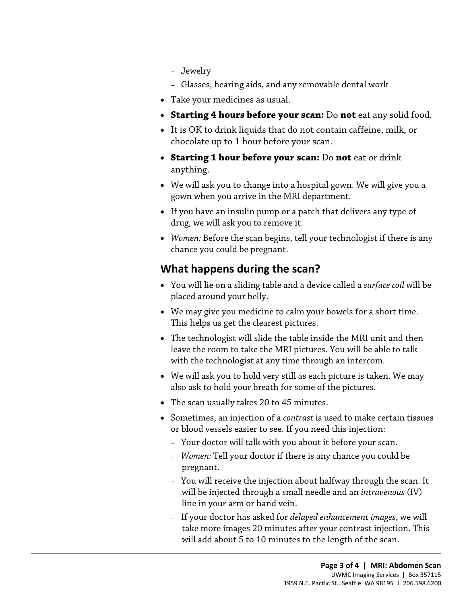- Jewelry
- Glasses, hearing aids, and any removable dental work
- Take your medicines as usual.
- **Starting 4 hours before your scan:** Do **not** eat any solid food.
- It is OK to drink liquids that do not contain caffeine, milk, or chocolate up to 1 hour before your scan.
- **Starting 1 hour before your scan:** Do **not** eat or drink anything.
- We will ask you to change into a hospital gown. We will give you a gown when you arrive in the MRI department.
- If you have an insulin pump or a patch that delivers any type of drug, we will ask you to remove it.
- If you have an insulin pump or a patch that delivers any type of<br>drug, we will ask you to remove it.<br>• Women: Before the scan begins, tell your technologist if there is a<br>chance you could be pregnant.<br>**What happens durin** • *Women:* Before the scan begins, tell your technologist if there is any chance you could be pregnant.

#### **What happens during the scan?**

- You will lie on a sliding table and a device called a *surface coil* will be placed around your belly.
- This helps us get the clearest pictures. • We may give you medicine to calm your bowels for a short time.
- • The technologist will slide the table inside the MRI unit and then leave the room to take the MRI pictures. You will be able to talk with the [technologist](javascript:glossAry() at any time through an intercom.
- We will ask you to hold very still as each picture is taken. We may also ask to hold your breath for some of the pictures.
- The scan usually takes 20 to 45 minutes.

 $\_$  ,  $\_$  ,  $\_$  ,  $\_$  ,  $\_$  ,  $\_$  ,  $\_$  ,  $\_$  ,  $\_$  ,  $\_$  ,  $\_$  ,  $\_$  ,  $\_$  ,  $\_$  ,  $\_$  ,  $\_$  ,  $\_$  ,  $\_$  ,  $\_$  ,  $\_$  ,  $\_$  ,  $\_$  ,  $\_$  ,  $\_$  ,  $\_$  ,  $\_$  ,  $\_$  ,  $\_$  ,  $\_$  ,  $\_$  ,  $\_$  ,  $\_$  ,  $\_$  ,  $\_$  ,  $\_$  ,  $\_$  ,  $\_$  ,

- Sometimes, an injection of a *[contrast](javascript:glossAry()* is used to make certain tissues or blood vessels easier to see. If you need this injection:
	- Your doctor will talk with you about it before your scan.
	- *Women:* Tell your doctor if there is any chance you could be pregnant.
	- You will receive the injection about halfway through the scan. It will be injected through a small needle and an *intravenous* (IV) line in your arm or hand vein.
	- If your doctor has asked for *delayed enhancement images*, we will take more images 20 minutes after your contrast injection. This will add about 5 to 10 minutes to the length of the scan.